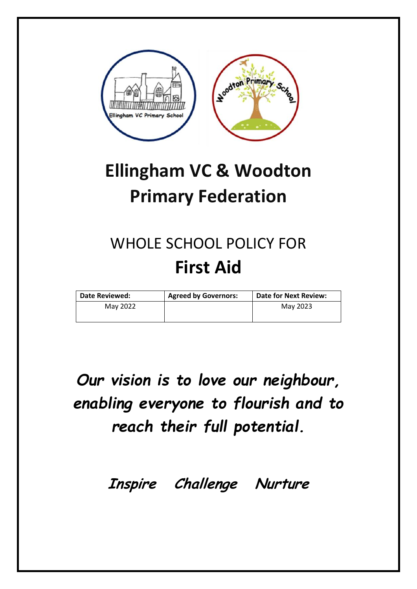

# **Ellingham VC & Woodton Primary Federation**

# WHOLE SCHOOL POLICY FOR **First Aid**

| <b>Date Reviewed:</b> | <b>Agreed by Governors:</b> | <b>Date for Next Review:</b> |
|-----------------------|-----------------------------|------------------------------|
| May 2022              |                             | May 2023                     |
|                       |                             |                              |

*Our vision is to love our neighbour, enabling everyone to flourish and to reach their full potential.* 

**Inspire Challenge Nurture**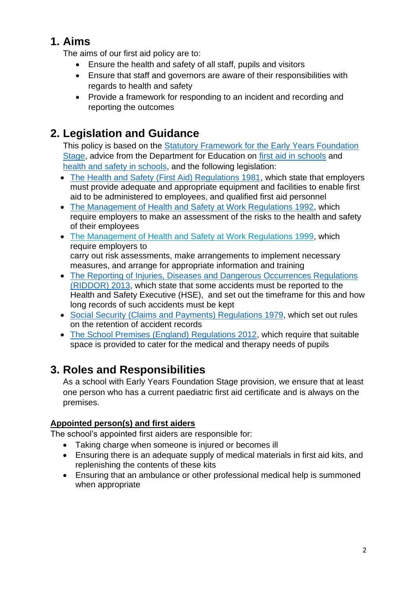### **1. Aims**

The aims of our first aid policy are to:

- Ensure the health and safety of all staff, pupils and visitors
- Ensure that staff and governors are aware of their responsibilities with regards to health and safety
- Provide a framework for responding to an incident and recording and reporting the outcomes

# **2. Legislation and Guidance**

This policy is based on the Statutory Framework for the Early Years Foundation [Stage,](https://www.gov.uk/government/uploads/system/uploads/attachment_data/file/596629/EYFS_STATUTORY_FRAMEWORK_2017.pdf) advice from the Department for Education on [first aid in schools](https://www.gov.uk/government/publications/first-aid-in-schools) and [health and safety in schools,](https://www.gov.uk/government/publications/health-and-safety-advice-for-schools) and the following legislation:

- [The Health and Safety \(First Aid\) Regulations 1981,](http://www.legislation.gov.uk/uksi/1981/917/regulation/3/made) which state that employers must provide adequate and appropriate equipment and facilities to enable first aid to be administered to employees, and qualified first aid personnel
- [The Management of Health and Safety at Work Regulations 1992,](http://www.legislation.gov.uk/uksi/1992/2051/regulation/3/made) which require employers to make an assessment of the risks to the health and safety of their employees
- [The Management of Health and Safety at Work Regulations 1999,](http://www.legislation.gov.uk/uksi/1999/3242/contents/made) which require employers to carry out risk assessments, make arrangements to implement necessary measures, and arrange for appropriate information and training
- The Reporting of Injuries, Diseases and Dangerous Occurrences Regulations [\(RIDDOR\) 2013,](http://www.legislation.gov.uk/uksi/2013/1471/schedule/1/paragraph/1/made) which state that some accidents must be reported to the Health and Safety Executive (HSE), and set out the timeframe for this and how long records of such accidents must be kept
- [Social Security \(Claims and Payments\) Regulations 1979,](http://www.legislation.gov.uk/uksi/1979/628) which set out rules on the retention of accident records
- [The School Premises \(England\) Regulations 2012,](http://www.legislation.gov.uk/uksi/2012/1943/regulation/5/made) which require that suitable space is provided to cater for the medical and therapy needs of pupils

# **3. Roles and Responsibilities**

As a school with Early Years Foundation Stage provision, we ensure that at least one person who has a current paediatric first aid certificate and is always on the premises.

### **Appointed person(s) and first aiders**

The school's appointed first aiders are responsible for:

- Taking charge when someone is injured or becomes ill
- Ensuring there is an adequate supply of medical materials in first aid kits, and replenishing the contents of these kits
- Ensuring that an ambulance or other professional medical help is summoned when appropriate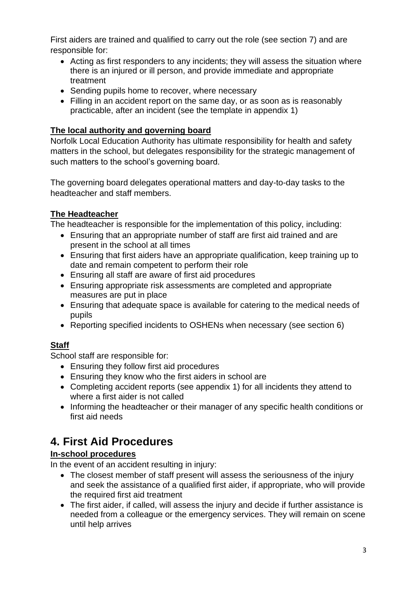First aiders are trained and qualified to carry out the role (see section 7) and are responsible for:

- Acting as first responders to any incidents; they will assess the situation where there is an injured or ill person, and provide immediate and appropriate treatment
- Sending pupils home to recover, where necessary
- Filling in an accident report on the same day, or as soon as is reasonably practicable, after an incident (see the template in appendix 1)

### **The local authority and governing board**

Norfolk Local Education Authority has ultimate responsibility for health and safety matters in the school, but delegates responsibility for the strategic management of such matters to the school's governing board.

The governing board delegates operational matters and day-to-day tasks to the headteacher and staff members.

#### **The Headteacher**

The headteacher is responsible for the implementation of this policy, including:

- Ensuring that an appropriate number of staff are first aid trained and are present in the school at all times
- Ensuring that first aiders have an appropriate qualification, keep training up to date and remain competent to perform their role
- Ensuring all staff are aware of first aid procedures
- Ensuring appropriate risk assessments are completed and appropriate measures are put in place
- Ensuring that adequate space is available for catering to the medical needs of pupils
- Reporting specified incidents to OSHENs when necessary (see section 6)

### **Staff**

School staff are responsible for:

- Ensuring they follow first aid procedures
- Ensuring they know who the first aiders in school are
- Completing accident reports (see appendix 1) for all incidents they attend to where a first aider is not called
- Informing the headteacher or their manager of any specific health conditions or first aid needs

# **4. First Aid Procedures**

### **In-school procedures**

In the event of an accident resulting in injury:

- The closest member of staff present will assess the seriousness of the injury and seek the assistance of a qualified first aider, if appropriate, who will provide the required first aid treatment
- The first aider, if called, will assess the injury and decide if further assistance is needed from a colleague or the emergency services. They will remain on scene until help arrives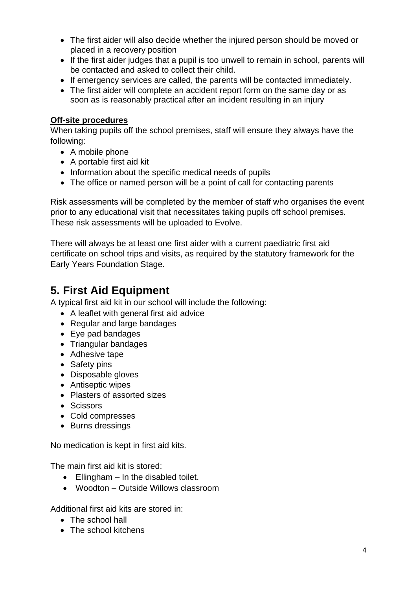- The first aider will also decide whether the injured person should be moved or placed in a recovery position
- If the first aider judges that a pupil is too unwell to remain in school, parents will be contacted and asked to collect their child.
- If emergency services are called, the parents will be contacted immediately.
- The first aider will complete an accident report form on the same day or as soon as is reasonably practical after an incident resulting in an injury

### **Off-site procedures**

When taking pupils off the school premises, staff will ensure they always have the following:

- A mobile phone
- A portable first aid kit
- Information about the specific medical needs of pupils
- The office or named person will be a point of call for contacting parents

Risk assessments will be completed by the member of staff who organises the event prior to any educational visit that necessitates taking pupils off school premises. These risk assessments will be uploaded to Evolve.

There will always be at least one first aider with a current paediatric first aid certificate on school trips and visits, as required by the statutory framework for the Early Years Foundation Stage.

# **5. First Aid Equipment**

A typical first aid kit in our school will include the following:

- A leaflet with general first aid advice
- Regular and large bandages
- Eye pad bandages
- Triangular bandages
- Adhesive tape
- Safety pins
- Disposable gloves
- Antiseptic wipes
- Plasters of assorted sizes
- Scissors
- Cold compresses
- Burns dressings

No medication is kept in first aid kits.

The main first aid kit is stored:

- Ellingham In the disabled toilet.
- Woodton Outside Willows classroom

Additional first aid kits are stored in:

- The school hall
- The school kitchens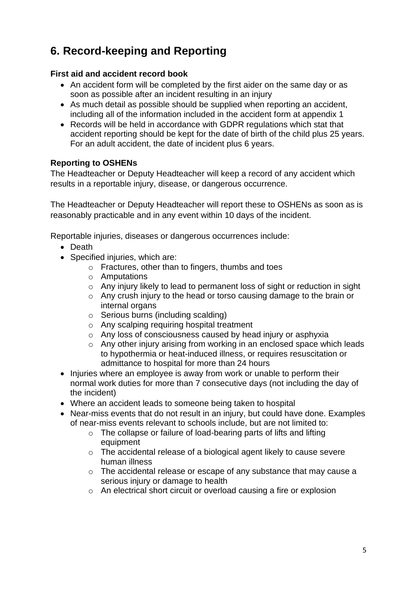# **6. Record-keeping and Reporting**

#### **First aid and accident record book**

- An accident form will be completed by the first aider on the same day or as soon as possible after an incident resulting in an injury
- As much detail as possible should be supplied when reporting an accident, including all of the information included in the accident form at appendix 1
- Records will be held in accordance with GDPR regulations which stat that accident reporting should be kept for the date of birth of the child plus 25 years. For an adult accident, the date of incident plus 6 years.

#### **Reporting to OSHENs**

The Headteacher or Deputy Headteacher will keep a record of any accident which results in a reportable injury, disease, or dangerous occurrence.

The Headteacher or Deputy Headteacher will report these to OSHENs as soon as is reasonably practicable and in any event within 10 days of the incident.

Reportable injuries, diseases or dangerous occurrences include:

- Death
- Specified injuries, which are:
	- o Fractures, other than to fingers, thumbs and toes
	- o Amputations
	- o Any injury likely to lead to permanent loss of sight or reduction in sight
	- o Any crush injury to the head or torso causing damage to the brain or internal organs
	- o Serious burns (including scalding)
	- o Any scalping requiring hospital treatment
	- o Any loss of consciousness caused by head injury or asphyxia
	- o Any other injury arising from working in an enclosed space which leads to hypothermia or heat-induced illness, or requires resuscitation or admittance to hospital for more than 24 hours
- Injuries where an employee is away from work or unable to perform their normal work duties for more than 7 consecutive days (not including the day of the incident)
- Where an accident leads to someone being taken to hospital
- Near-miss events that do not result in an injury, but could have done. Examples of near-miss events relevant to schools include, but are not limited to:
	- o The collapse or failure of load-bearing parts of lifts and lifting equipment
	- o The accidental release of a biological agent likely to cause severe human illness
	- o The accidental release or escape of any substance that may cause a serious injury or damage to health
	- o An electrical short circuit or overload causing a fire or explosion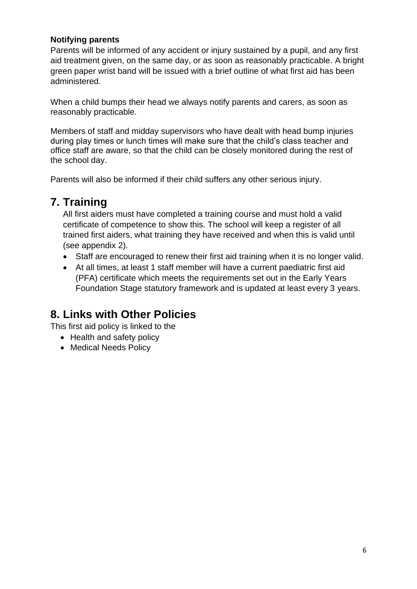#### **Notifying parents**

Parents will be informed of any accident or injury sustained by a pupil, and any first aid treatment given, on the same day, or as soon as reasonably practicable. A bright green paper wrist band will be issued with a brief outline of what first aid has been administered.

When a child bumps their head we always notify parents and carers, as soon as reasonably practicable.

Members of staff and midday supervisors who have dealt with head bump injuries during play times or lunch times will make sure that the child's class teacher and office staff are aware, so that the child can be closely monitored during the rest of the school day.

Parents will also be informed if their child suffers any other serious injury.

### **7. Training**

All first aiders must have completed a training course and must hold a valid certificate of competence to show this. The school will keep a register of all trained first aiders, what training they have received and when this is valid until (see appendix 2).

- Staff are encouraged to renew their first aid training when it is no longer valid.
- At all times, at least 1 staff member will have a current paediatric first aid (PFA) certificate which meets the requirements set out in the Early Years Foundation Stage statutory framework and is updated at least every 3 years.

### **8. Links with Other Policies**

This first aid policy is linked to the

- Health and safety policy
- Medical Needs Policy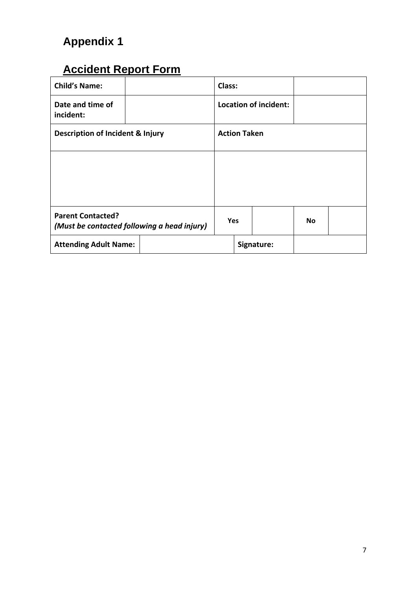# **Appendix 1**

# **Accident Report Form**

| <b>Child's Name:</b>                        |                                             | Class:              |  |                              |           |  |
|---------------------------------------------|---------------------------------------------|---------------------|--|------------------------------|-----------|--|
| Date and time of<br>incident:               |                                             |                     |  | <b>Location of incident:</b> |           |  |
| <b>Description of Incident &amp; Injury</b> |                                             | <b>Action Taken</b> |  |                              |           |  |
|                                             |                                             |                     |  |                              |           |  |
|                                             |                                             |                     |  |                              |           |  |
| <b>Parent Contacted?</b>                    | (Must be contacted following a head injury) | <b>Yes</b>          |  |                              | <b>No</b> |  |
| <b>Attending Adult Name:</b>                |                                             |                     |  | Signature:                   |           |  |